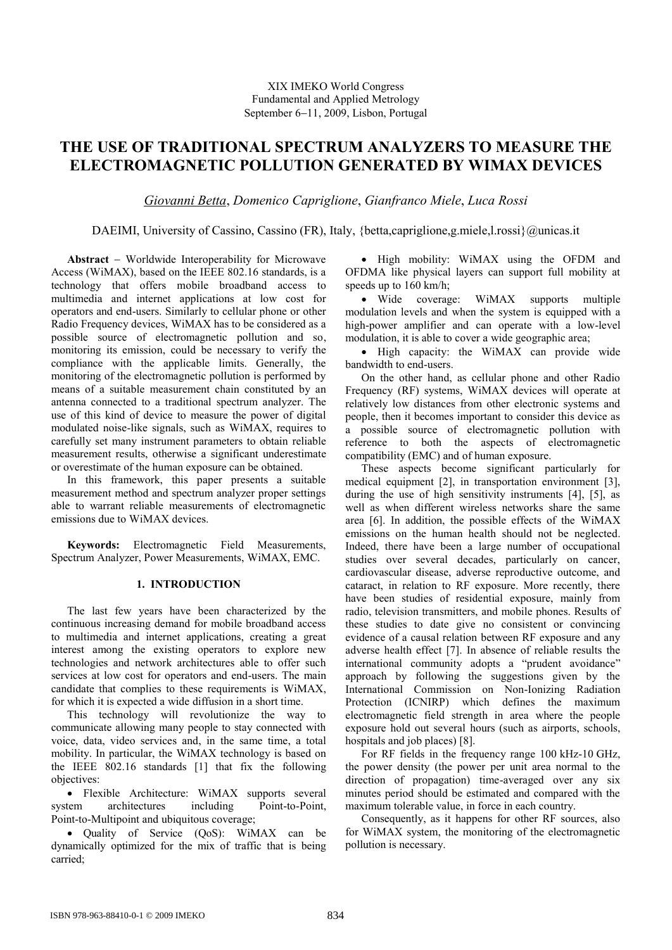# **THE USE OF TRADITIONAL SPECTRUM ANALYZERS TO MEASURE THE ELECTROMAGNETIC POLLUTION GENERATED BY WIMAX DEVICES**

*Giovanni Betta*, *Domenico Capriglione*, *Gianfranco Miele*, *Luca Rossi*

DAEIMI, University of Cassino, Cassino (FR), Italy, {betta,capriglione,g.miele,l.rossi}@unicas.it

**Abstract** – Worldwide Interoperability for Microwave Access (WiMAX), based on the IEEE 802.16 standards, is a technology that offers mobile broadband access to multimedia and internet applications at low cost for operators and end-users. Similarly to cellular phone or other Radio Frequency devices, WiMAX has to be considered as a possible source of electromagnetic pollution and so, monitoring its emission, could be necessary to verify the compliance with the applicable limits. Generally, the monitoring of the electromagnetic pollution is performed by means of a suitable measurement chain constituted by an antenna connected to a traditional spectrum analyzer. The use of this kind of device to measure the power of digital modulated noise-like signals, such as WiMAX, requires to carefully set many instrument parameters to obtain reliable measurement results, otherwise a significant underestimate or overestimate of the human exposure can be obtained.

In this framework, this paper presents a suitable measurement method and spectrum analyzer proper settings able to warrant reliable measurements of electromagnetic emissions due to WiMAX devices.

**Keywords:** Electromagnetic Field Measurements, Spectrum Analyzer, Power Measurements, WiMAX, EMC.

## **1. INTRODUCTION**

The last few years have been characterized by the continuous increasing demand for mobile broadband access to multimedia and internet applications, creating a great interest among the existing operators to explore new technologies and network architectures able to offer such services at low cost for operators and end-users. The main candidate that complies to these requirements is WiMAX, for which it is expected a wide diffusion in a short time.

This technology will revolutionize the way to communicate allowing many people to stay connected with voice, data, video services and, in the same time, a total mobility. In particular, the WiMAX technology is based on the IEEE 802.16 standards [1] that fix the following objectives:

 Flexible Architecture: WiMAX supports several system architectures including Point-to-Point, Point-to-Multipoint and ubiquitous coverage;

• Quality of Service (QoS): WiMAX can be dynamically optimized for the mix of traffic that is being carried;

• High mobility: WiMAX using the OFDM and OFDMA like physical layers can support full mobility at speeds up to 160 km/h;

• Wide coverage: WiMAX supports multiple modulation levels and when the system is equipped with a high-power amplifier and can operate with a low-level modulation, it is able to cover a wide geographic area;

• High capacity: the WiMAX can provide wide bandwidth to end-users.

On the other hand, as cellular phone and other Radio Frequency (RF) systems, WiMAX devices will operate at relatively low distances from other electronic systems and people, then it becomes important to consider this device as a possible source of electromagnetic pollution with reference to both the aspects of electromagnetic compatibility (EMC) and of human exposure.

These aspects become significant particularly for medical equipment [2], in transportation environment [3], during the use of high sensitivity instruments [4], [5], as well as when different wireless networks share the same area [6]. In addition, the possible effects of the WiMAX emissions on the human health should not be neglected. Indeed, there have been a large number of occupational studies over several decades, particularly on cancer, cardiovascular disease, adverse reproductive outcome, and cataract, in relation to RF exposure. More recently, there have been studies of residential exposure, mainly from radio, television transmitters, and mobile phones. Results of these studies to date give no consistent or convincing evidence of a causal relation between RF exposure and any adverse health effect [7]. In absence of reliable results the international community adopts a "prudent avoidance" approach by following the suggestions given by the International Commission on Non-Ionizing Radiation Protection (ICNIRP) which defines the maximum electromagnetic field strength in area where the people exposure hold out several hours (such as airports, schools, hospitals and job places) [8].

For RF fields in the frequency range 100 kHz-10 GHz, the power density (the power per unit area normal to the direction of propagation) time-averaged over any six minutes period should be estimated and compared with the maximum tolerable value, in force in each country.

Consequently, as it happens for other RF sources, also for WiMAX system, the monitoring of the electromagnetic pollution is necessary.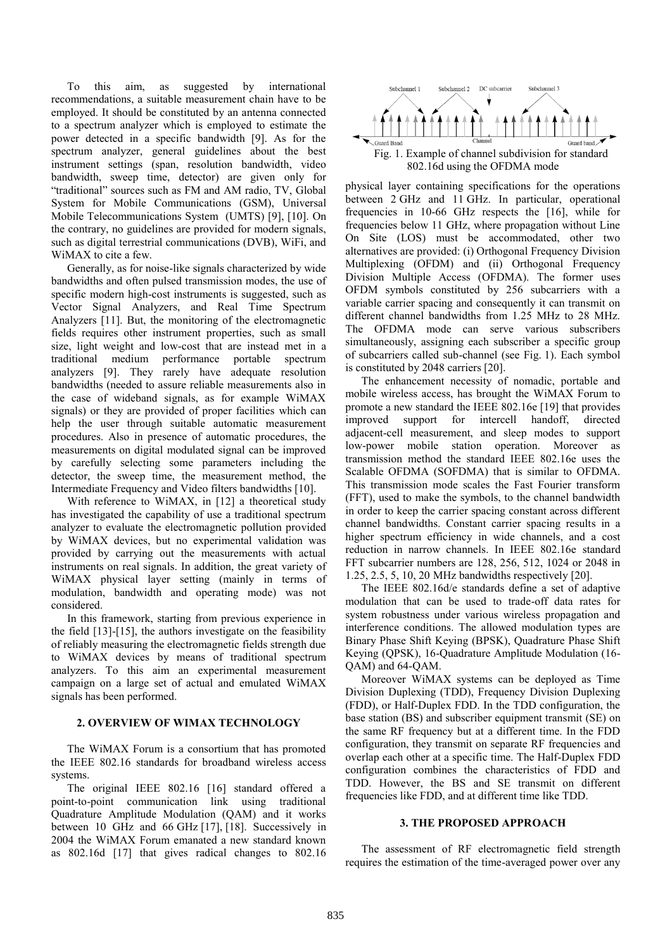To this aim, as suggested by international recommendations, a suitable measurement chain have to be employed. It should be constituted by an antenna connected to a spectrum analyzer which is employed to estimate the power detected in a specific bandwidth [9]. As for the spectrum analyzer, general guidelines about the best instrument settings (span, resolution bandwidth, video bandwidth, sweep time, detector) are given only for "traditional" sources such as FM and AM radio, TV, Global System for Mobile Communications (GSM), Universal Mobile Telecommunications System (UMTS) [9], [10]. On the contrary, no guidelines are provided for modern signals, such as digital terrestrial communications (DVB), WiFi, and WiMAX to cite a few.

Generally, as for noise-like signals characterized by wide bandwidths and often pulsed transmission modes, the use of specific modern high-cost instruments is suggested, such as Vector Signal Analyzers, and Real Time Spectrum Analyzers [11]. But, the monitoring of the electromagnetic fields requires other instrument properties, such as small size, light weight and low-cost that are instead met in a traditional medium performance portable spectrum analyzers [9]. They rarely have adequate resolution bandwidths (needed to assure reliable measurements also in the case of wideband signals, as for example WiMAX signals) or they are provided of proper facilities which can help the user through suitable automatic measurement procedures. Also in presence of automatic procedures, the measurements on digital modulated signal can be improved by carefully selecting some parameters including the detector, the sweep time, the measurement method, the Intermediate Frequency and Video filters bandwidths [10].

With reference to WiMAX, in [12] a theoretical study has investigated the capability of use a traditional spectrum analyzer to evaluate the electromagnetic pollution provided by WiMAX devices, but no experimental validation was provided by carrying out the measurements with actual instruments on real signals. In addition, the great variety of WiMAX physical layer setting (mainly in terms of modulation, bandwidth and operating mode) was not considered.

In this framework, starting from previous experience in the field [13]-[15], the authors investigate on the feasibility of reliably measuring the electromagnetic fields strength due to WiMAX devices by means of traditional spectrum analyzers. To this aim an experimental measurement campaign on a large set of actual and emulated WiMAX signals has been performed.

## **2. OVERVIEW OF WIMAX TECHNOLOGY**

The WiMAX Forum is a consortium that has promoted the IEEE 802.16 standards for broadband wireless access systems.

The original IEEE 802.16 [16] standard offered a point-to-point communication link using traditional Quadrature Amplitude Modulation (QAM) and it works between 10 GHz and 66 GHz [17], [18]. Successively in 2004 the WiMAX Forum emanated a new standard known as 802.16d [17] that gives radical changes to 802.16



physical layer containing specifications for the operations between 2 GHz and 11 GHz. In particular, operational frequencies in 10-66 GHz respects the [16], while for frequencies below 11 GHz, where propagation without Line On Site (LOS) must be accommodated, other two alternatives are provided: (i) Orthogonal Frequency Division Multiplexing (OFDM) and (ii) Orthogonal Frequency Division Multiple Access (OFDMA). The former uses OFDM symbols constituted by 256 subcarriers with a variable carrier spacing and consequently it can transmit on different channel bandwidths from 1.25 MHz to 28 MHz. The OFDMA mode can serve various subscribers simultaneously, assigning each subscriber a specific group of subcarriers called sub-channel (see Fig. 1). Each symbol is constituted by 2048 carriers [20].

The enhancement necessity of nomadic, portable and mobile wireless access, has brought the WiMAX Forum to promote a new standard the IEEE 802.16e [19] that provides improved support for intercell handoff, directed adjacent-cell measurement, and sleep modes to support low-power mobile station operation. Moreover as transmission method the standard IEEE 802.16e uses the Scalable OFDMA (SOFDMA) that is similar to OFDMA. This transmission mode scales the Fast Fourier transform (FFT), used to make the symbols, to the channel bandwidth in order to keep the carrier spacing constant across different channel bandwidths. Constant carrier spacing results in a higher spectrum efficiency in wide channels, and a cost reduction in narrow channels. In IEEE 802.16e standard FFT subcarrier numbers are 128, 256, 512, 1024 or 2048 in 1.25, 2.5, 5, 10, 20 MHz bandwidths respectively [20].

The IEEE 802.16d/e standards define a set of adaptive modulation that can be used to trade-off data rates for system robustness under various wireless propagation and interference conditions. The allowed modulation types are Binary Phase Shift Keying (BPSK), Quadrature Phase Shift Keying (QPSK), 16-Quadrature Amplitude Modulation (16- QAM) and 64-QAM.

Moreover WiMAX systems can be deployed as Time Division Duplexing (TDD), Frequency Division Duplexing (FDD), or Half-Duplex FDD. In the TDD configuration, the base station (BS) and subscriber equipment transmit (SE) on the same RF frequency but at a different time. In the FDD configuration, they transmit on separate RF frequencies and overlap each other at a specific time. The Half-Duplex FDD configuration combines the characteristics of FDD and TDD. However, the BS and SE transmit on different frequencies like FDD, and at different time like TDD.

## **3. THE PROPOSED APPROACH**

The assessment of RF electromagnetic field strength requires the estimation of the time-averaged power over any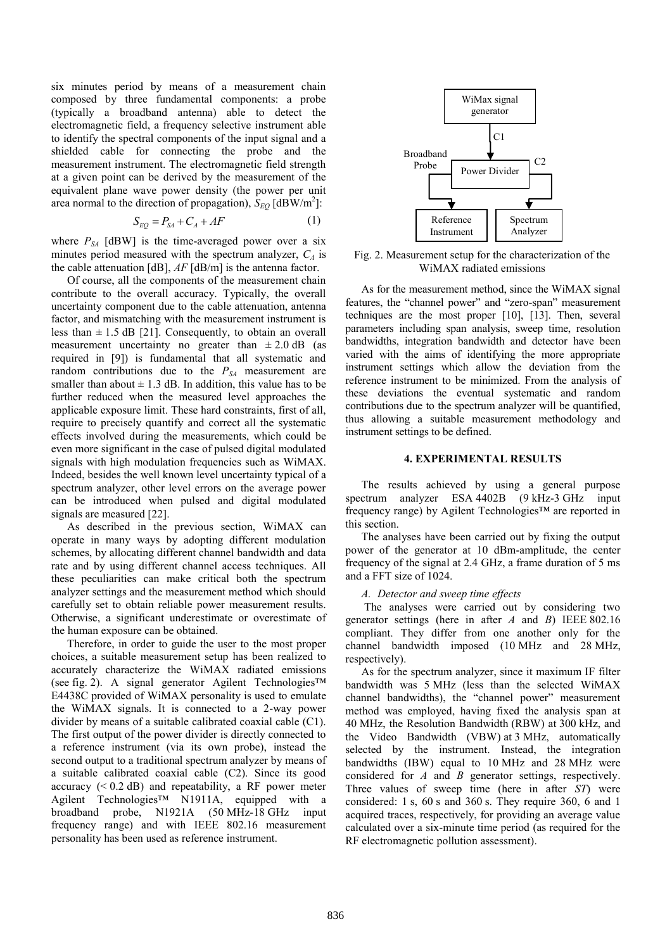six minutes period by means of a measurement chain composed by three fundamental components: a probe (typically a broadband antenna) able to detect the electromagnetic field, a frequency selective instrument able to identify the spectral components of the input signal and a shielded cable for connecting the probe and the measurement instrument. The electromagnetic field strength at a given point can be derived by the measurement of the equivalent plane wave power density (the power per unit area normal to the direction of propagation),  $S_{EQ}$  [dBW/m<sup>2</sup>]:

$$
S_{EQ} = P_{SA} + C_A + AF \tag{1}
$$

where  $P_{SA}$  [dBW] is the time-averaged power over a six minutes period measured with the spectrum analyzer,  $C_A$  is the cable attenuation [dB], *AF* [dB/m] is the antenna factor.

Of course, all the components of the measurement chain contribute to the overall accuracy. Typically, the overall uncertainty component due to the cable attenuation, antenna factor, and mismatching with the measurement instrument is less than  $\pm$  1.5 dB [21]. Consequently, to obtain an overall measurement uncertainty no greater than  $\pm 2.0$  dB (as required in [9]) is fundamental that all systematic and random contributions due to the *PSA* measurement are smaller than about  $\pm$  1.3 dB. In addition, this value has to be further reduced when the measured level approaches the applicable exposure limit. These hard constraints, first of all, require to precisely quantify and correct all the systematic effects involved during the measurements, which could be even more significant in the case of pulsed digital modulated signals with high modulation frequencies such as WiMAX. Indeed, besides the well known level uncertainty typical of a spectrum analyzer, other level errors on the average power can be introduced when pulsed and digital modulated signals are measured [22].

As described in the previous section, WiMAX can operate in many ways by adopting different modulation schemes, by allocating different channel bandwidth and data rate and by using different channel access techniques. All these peculiarities can make critical both the spectrum analyzer settings and the measurement method which should carefully set to obtain reliable power measurement results. Otherwise, a significant underestimate or overestimate of the human exposure can be obtained.

Therefore, in order to guide the user to the most proper choices, a suitable measurement setup has been realized to accurately characterize the WiMAX radiated emissions (see fig. 2). A signal generator Agilent Technologies™ E4438C provided of WiMAX personality is used to emulate the WiMAX signals. It is connected to a 2-way power divider by means of a suitable calibrated coaxial cable (C1). The first output of the power divider is directly connected to a reference instrument (via its own probe), instead the second output to a traditional spectrum analyzer by means of a suitable calibrated coaxial cable (C2). Since its good accuracy  $(< 0.2$  dB) and repeatability, a RF power meter Agilent Technologies™ N1911A, equipped with a broadband probe, N1921A (50 MHz-18 GHz input frequency range) and with IEEE 802.16 measurement personality has been used as reference instrument.



Fig. 2. Measurement setup for the characterization of the WiMAX radiated emissions

As for the measurement method, since the WiMAX signal features, the "channel power" and "zero-span" measurement techniques are the most proper [10], [13]. Then, several parameters including span analysis, sweep time, resolution bandwidths, integration bandwidth and detector have been varied with the aims of identifying the more appropriate instrument settings which allow the deviation from the reference instrument to be minimized. From the analysis of these deviations the eventual systematic and random contributions due to the spectrum analyzer will be quantified, thus allowing a suitable measurement methodology and instrument settings to be defined.

#### **4. EXPERIMENTAL RESULTS**

The results achieved by using a general purpose spectrum analyzer ESA 4402B (9 kHz-3 GHz input frequency range) by Agilent Technologies™ are reported in this section.

The analyses have been carried out by fixing the output power of the generator at 10 dBm-amplitude, the center frequency of the signal at 2.4 GHz, a frame duration of 5 ms and a FFT size of 1024.

#### *A. Detector and sweep time effects*

The analyses were carried out by considering two generator settings (here in after *A* and *B*) IEEE 802.16 compliant. They differ from one another only for the channel bandwidth imposed (10 MHz and 28 MHz, respectively).

As for the spectrum analyzer, since it maximum IF filter bandwidth was 5 MHz (less than the selected WiMAX channel bandwidths), the "channel power" measurement method was employed, having fixed the analysis span at 40 MHz, the Resolution Bandwidth (RBW) at 300 kHz, and the Video Bandwidth (VBW) at 3 MHz, automatically selected by the instrument. Instead, the integration bandwidths (IBW) equal to 10 MHz and 28 MHz were considered for *A* and *B* generator settings, respectively. Three values of sweep time (here in after *ST*) were considered: 1 s, 60 s and 360 s. They require 360, 6 and 1 acquired traces, respectively, for providing an average value calculated over a six-minute time period (as required for the RF electromagnetic pollution assessment).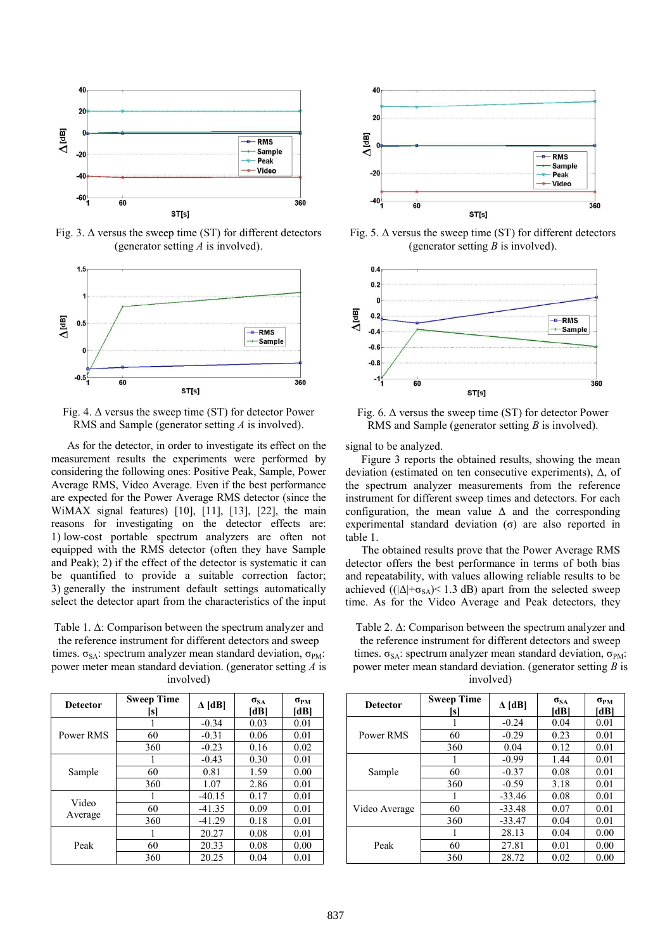

Fig. 3.  $\Delta$  versus the sweep time (ST) for different detectors (generator setting *A* is involved).



Fig. 4.  $\Delta$  versus the sweep time (ST) for detector Power RMS and Sample (generator setting *A* is involved).

As for the detector, in order to investigate its effect on the measurement results the experiments were performed by considering the following ones: Positive Peak, Sample, Power Average RMS, Video Average. Even if the best performance are expected for the Power Average RMS detector (since the WiMAX signal features) [\[10\],](#page-5-0) [\[11\],](#page-5-1) [\[13\],](#page-5-2) [\[22\],](#page-5-3) the main reasons for investigating on the detector effects are: 1) low-cost portable spectrum analyzers are often not equipped with the RMS detector (often they have Sample and Peak); 2) if the effect of the detector is systematic it can be quantified to provide a suitable correction factor; 3) generally the instrument default settings automatically select the detector apart from the characteristics of the input

Table 1. Δ: Comparison between the spectrum analyzer and the reference instrument for different detectors and sweep

times.  $\sigma_{SA}$ : spectrum analyzer mean standard deviation,  $\sigma_{PM}$ : power meter mean standard deviation. (generator setting *A* is involved)

| <b>Detector</b>  | <b>Sweep Time</b><br>s | $\Delta$ [dB] | $\sigma_{SA}$<br>[dB] | $\sigma_{PM}$<br>[dB |
|------------------|------------------------|---------------|-----------------------|----------------------|
| Power RMS        |                        | $-0.34$       | 0.03                  | 0.01                 |
|                  | 60                     | $-0.31$       | 0.06                  | 0.01                 |
|                  | 360                    | $-0.23$       | 0.16                  | 0.02                 |
| Sample           |                        | $-0.43$       | 0.30                  | 0.01                 |
|                  | 60                     | 0.81          | 1.59                  | 0.00                 |
|                  | 360                    | 1.07          | 2.86                  | 0.01                 |
| Video<br>Average |                        | $-40.15$      | 0.17                  | 0.01                 |
|                  | 60                     | $-41.35$      | 0.09                  | 0.01                 |
|                  | 360                    | $-41.29$      | 0.18                  | 0.01                 |
| Peak             | 1                      | 20.27         | 0.08                  | 0.01                 |
|                  | 60                     | 20.33         | 0.08                  | 0.00                 |
|                  | 360                    | 20.25         | 0.04                  | 0.01                 |



Fig. 5.  $\Delta$  versus the sweep time (ST) for different detectors (generator setting *B* is involved).





signal to be analyzed.

Figure 3 reports the obtained results, showing the mean deviation (estimated on ten consecutive experiments), Δ, of the spectrum analyzer measurements from the reference instrument for different sweep times and detectors. For each configuration, the mean value  $\Delta$  and the corresponding experimental standard deviation (σ) are also reported in table 1.

The obtained results prove that the Power Average RMS detector offers the best performance in terms of both bias and repeatability, with values allowing reliable results to be achieved ( $(|\Delta| + \sigma_{SA}) < 1.3$  dB) apart from the selected sweep time. As for the Video Average and Peak detectors, they

Table 2. Δ: Comparison between the spectrum analyzer and the reference instrument for different detectors and sweep times.  $\sigma_{SA}$ : spectrum analyzer mean standard deviation,  $\sigma_{PM}$ : power meter mean standard deviation. (generator setting *B* is involved)

| <b>Detector</b> | <b>Sweep Time</b><br>sl | $\Delta$ [dB] | $\sigma_{SA}$<br>[dB] | $\sigma_{PM}$<br>[dB] |
|-----------------|-------------------------|---------------|-----------------------|-----------------------|
|                 |                         | $-0.24$       | 0.04                  | 0.01                  |
| Power RMS       | 60                      | $-0.29$       | 0.23                  | 0.01                  |
|                 | 360                     | 0.04          | 0.12                  | 0.01                  |
|                 |                         | $-0.99$       | 1.44                  | 0.01                  |
| Sample          | 60                      | $-0.37$       | 0.08                  | 0.01                  |
|                 | 360                     | $-0.59$       | 3.18                  | 0.01                  |
|                 |                         | $-33.46$      | 0.08                  | 0.01                  |
| Video Average   | 60                      | $-33.48$      | 0.07                  | 0.01                  |
|                 | 360                     | $-33.47$      | 0.04                  | 0.01                  |
|                 |                         | 28.13         | 0.04                  | 0.00                  |
| Peak            | 60                      | 27.81         | 0.01                  | 0.00                  |
|                 | 360                     | 28.72         | 0.02                  | 0.00                  |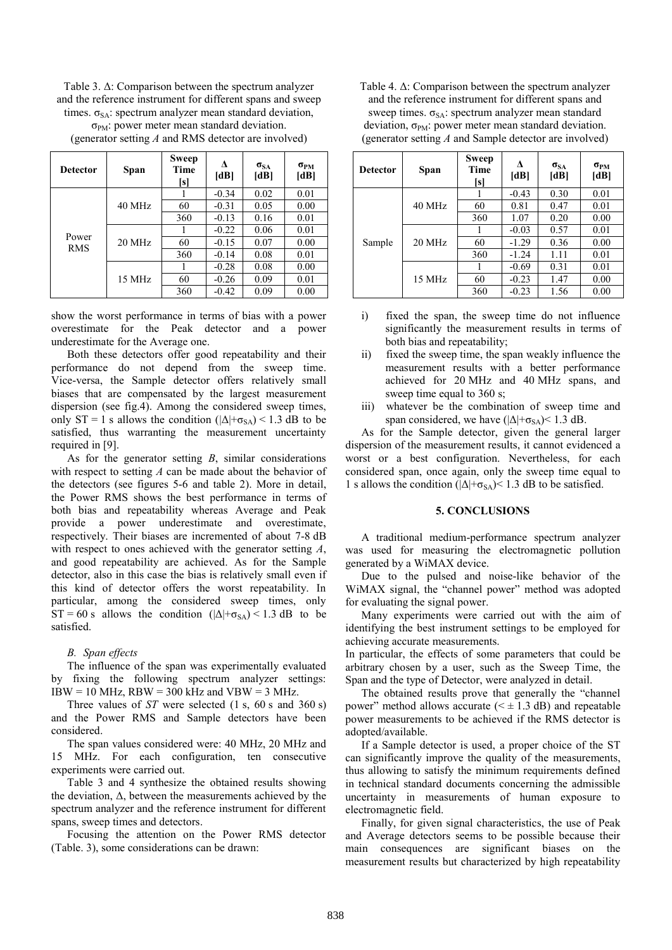Table 3. Δ: Comparison between the spectrum analyzer and the reference instrument for different spans and sweep times.  $\sigma_{SA}$ : spectrum analyzer mean standard deviation,

| <b>Detector</b>     | Span     | Sweep<br><b>Time</b><br>[s] | л<br>[dB] | $\sigma_{SA}$<br>[dB] | $\sigma_{PM}$<br>[dB] |
|---------------------|----------|-----------------------------|-----------|-----------------------|-----------------------|
| Power<br><b>RMS</b> | $40$ MHz |                             | $-0.34$   | 0.02                  | 0.01                  |
|                     |          | 60                          | $-0.31$   | 0.05                  | 0.00                  |
|                     |          | 360                         | $-0.13$   | 0.16                  | 0.01                  |
|                     | 20 MHz   |                             | $-0.22$   | 0.06                  | 0.01                  |
|                     |          | 60                          | $-0.15$   | 0.07                  | 0.00                  |
|                     |          | 360                         | $-0.14$   | 0.08                  | 0.01                  |
|                     | 15 MHz   |                             | $-0.28$   | 0.08                  | 0.00                  |
|                     |          | 60                          | $-0.26$   | 0.09                  | 0.01                  |
|                     |          | 360                         | $-0.42$   | 0.09                  | 0.00                  |

 $\sigma_{PM}$ : power meter mean standard deviation. (generator setting *A* and RMS detector are involved)

show the worst performance in terms of bias with a power overestimate for the Peak detector and a power underestimate for the Average one.

Both these detectors offer good repeatability and their performance do not depend from the sweep time. Vice-versa, the Sample detector offers relatively small biases that are compensated by the largest measurement dispersion (see fig.4). Among the considered sweep times, only ST = 1 s allows the condition  $(|\Delta| + \sigma_{SA}) < 1.3$  dB to be satisfied, thus warranting the measurement uncertainty required i[n \[9\].](#page-5-4)

As for the generator setting *B*, similar considerations with respect to setting *A* can be made about the behavior of the detectors (see figures 5-6 and table 2). More in detail, the Power RMS shows the best performance in terms of both bias and repeatability whereas Average and Peak provide a power underestimate and overestimate, respectively. Their biases are incremented of about 7-8 dB with respect to ones achieved with the generator setting *A*, and good repeatability are achieved. As for the Sample detector, also in this case the bias is relatively small even if this kind of detector offers the worst repeatability. In particular, among the considered sweep times, only  $ST = 60$  s allows the condition  $(|\Delta| + \sigma_{SA}) < 1.3$  dB to be satisfied.

#### *B. Span effects*

The influence of the span was experimentally evaluated by fixing the following spectrum analyzer settings:  $IBW = 10$  MHz,  $RBW = 300$  kHz and  $VBW = 3$  MHz.

Three values of *ST* were selected (1 s, 60 s and 360 s) and the Power RMS and Sample detectors have been considered.

The span values considered were: 40 MHz, 20 MHz and 15 MHz. For each configuration, ten consecutive experiments were carried out.

Table 3 and 4 synthesize the obtained results showing the deviation, Δ, between the measurements achieved by the spectrum analyzer and the reference instrument for different spans, sweep times and detectors.

Focusing the attention on the Power RMS detector (Table. 3), some considerations can be drawn:

| Table 4. $\Delta$ : Comparison between the spectrum analyzer    |  |  |  |  |
|-----------------------------------------------------------------|--|--|--|--|
| and the reference instrument for different spans and            |  |  |  |  |
| sweep times. $\sigma_{SA}$ : spectrum analyzer mean standard    |  |  |  |  |
| deviation, $\sigma_{PM}$ : power meter mean standard deviation. |  |  |  |  |
| (generator setting $A$ and Sample detector are involved)        |  |  |  |  |

| <b>Detector</b> | Span     | Sweep<br>Time<br>[s] | л<br>[dB] | $\sigma_{SA}$<br>[dB] | $\sigma_{PM}$<br>[dB] |
|-----------------|----------|----------------------|-----------|-----------------------|-----------------------|
| Sample          | 40 MHz   |                      | $-0.43$   | 0.30                  | 0.01                  |
|                 |          | 60                   | 0.81      | 0.47                  | 0.01                  |
|                 |          | 360                  | 1.07      | 0.20                  | 0.00                  |
|                 | $20$ MHz |                      | $-0.03$   | 0.57                  | 0.01                  |
|                 |          | 60                   | $-1.29$   | 0.36                  | 0.00                  |
|                 |          | 360                  | $-1.24$   | 1.11                  | 0.01                  |
|                 | 15 MHz   |                      | $-0.69$   | 0.31                  | 0.01                  |
|                 |          | 60                   | $-0.23$   | 1.47                  | 0.00                  |
|                 |          | 360                  | $-0.23$   | 1.56                  | 0.00                  |

- i) fixed the span, the sweep time do not influence significantly the measurement results in terms of both bias and repeatability;
- ii) fixed the sweep time, the span weakly influence the measurement results with a better performance achieved for 20 MHz and 40 MHz spans, and sweep time equal to 360 s;
- iii) whatever be the combination of sweep time and span considered, we have  $(|\Delta| + \sigma_{SA}) < 1.3$  dB.

As for the Sample detector, given the general larger dispersion of the measurement results, it cannot evidenced a worst or a best configuration. Nevertheless, for each considered span, once again, only the sweep time equal to 1 s allows the condition ( $|\Delta|$ + $\sigma_{SA}$ )< 1.3 dB to be satisfied.

### **5. CONCLUSIONS**

A traditional medium-performance spectrum analyzer was used for measuring the electromagnetic pollution generated by a WiMAX device.

Due to the pulsed and noise-like behavior of the WiMAX signal, the "channel power" method was adopted for evaluating the signal power.

Many experiments were carried out with the aim of identifying the best instrument settings to be employed for achieving accurate measurements.

In particular, the effects of some parameters that could be arbitrary chosen by a user, such as the Sweep Time, the Span and the type of Detector, were analyzed in detail.

The obtained results prove that generally the "channel power" method allows accurate  $( $\pm 1.3$  dB)$  and repeatable power measurements to be achieved if the RMS detector is adopted/available.

If a Sample detector is used, a proper choice of the ST can significantly improve the quality of the measurements, thus allowing to satisfy the minimum requirements defined in technical standard documents concerning the admissible uncertainty in measurements of human exposure to electromagnetic field.

Finally, for given signal characteristics, the use of Peak and Average detectors seems to be possible because their main consequences are significant biases on the measurement results but characterized by high repeatability